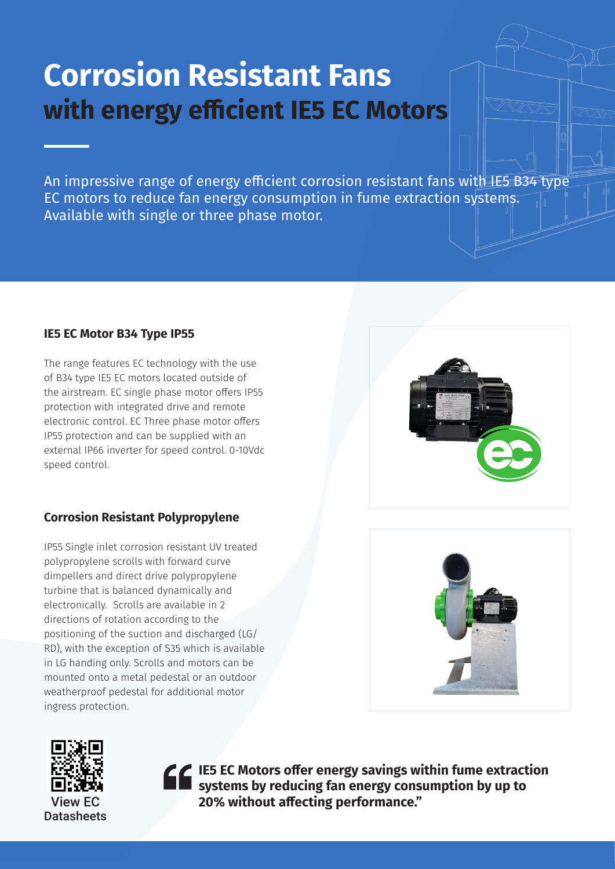# **Corrosion Resistant Fans with energy efficient IE5 EC Motors**

An impressive range of energy efficient corrosion resistant fans with IE5 B34 type EC motors to reduce fan energy consumption in fume extraction systems. Available with single or three phase motor.

## **IE5 EC Motor B34 Type IP55**

The range features EC technology with the use of B34 type IE5 EC motors located outside of the airstream. EC single phase motor offers IP55 protection with integrated drive and remote electronic control. EC Three phase motor offers IP55 protection and can be supplied with an external IP66 inverter for speed control. 0-10Vdc speed control.

# **Corrosion Resistant Polypropylene**

IP55 Single inlet corrosion resistant UV treated polypropylene scrolls with forward curve dimpellers and direct drive polypropylene turbine that is balanced dynamically and electronically. Scrolls are available in 2 directions of rotation according to the positioning of the suction and discharged (LG/ RD), with the exception of S35 which is available in LG handing only. Scrolls and motors can be mounted onto a metal pedestal or an outdoor weatherproof pedestal for additional motor ingress protection.







**IE5 EC Motors offer energy savings within fume extraction systems by reducing fan energy consumption by up to**  20% without affecting performance."